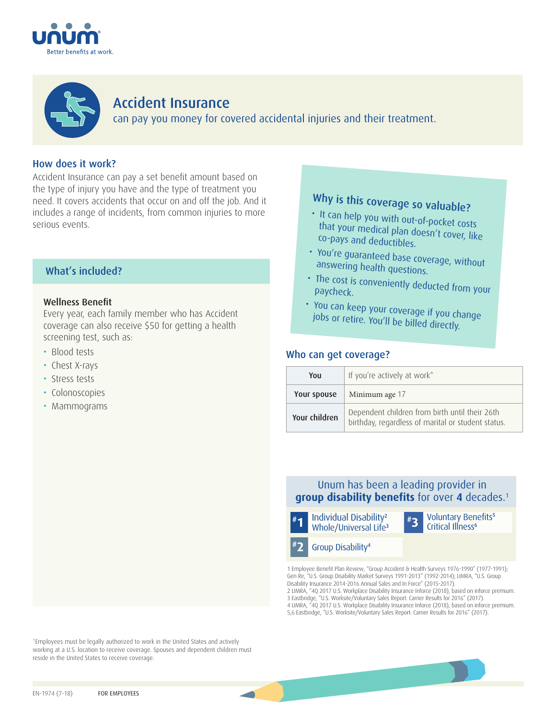



# Accident Insurance can pay you money for covered accidental injuries and their treatment.

## How does it work?

Accident Insurance can pay a set benefit amount based on the type of injury you have and the type of treatment you need. It covers accidents that occur on and off the job. And it includes a range of incidents, from common injuries to more serious events.

## What's included?

### Wellness Benefit

Every year, each family member who has Accident coverage can also receive \$50 for getting a health screening test, such as:

- Blood tests
- Chest X-rays
- Stress tests
- Colonoscopies
- Mammograms

# Why is this coverage so valuable?

- It can help you with out-of-pocket costs that your medical plan doesn't cover, like co-pays and deductibles.
- You're guaranteed base coverage, without answering health questions.
- $\cdot$  The cost is conveniently deducted from your paycheck paycheck.
- You can keep your coverage if you change jobs or retire. You'll be billed directly.

## Who can get coverage?

| You           | If you're actively at work*                                                                          |  |  |
|---------------|------------------------------------------------------------------------------------------------------|--|--|
| Your spouse   | Minimum age 17                                                                                       |  |  |
| Your children | Dependent children from birth until their 26th<br>birthday, regardless of marital or student status. |  |  |

## Unum has been a leading provider in **group disability benefits** for over **4** decades.1



1 Employee Benefit Plan Review, "Group Accident & Health Surveys 1976-1990" (1977-1991); Gen Re, "U.S. Group Disability Market Surveys 1991-2013" (1992-2014); LIMRA, "U.S. Group Disability Insurance 2014-2016 Annual Sales and In Force" (2015-2017). 2 LIMRA, "4Q 2017 U.S. Workplace Disability Insurance Inforce (2018), based on inforce premium.

3 Eastbridge, "U.S. Worksite/Voluntary Sales Report: Carrier Results for 2016" (2017). 4 LIMRA, "4Q 2017 U.S. Workplace Disability Insurance Inforce (2018), based on inforce premium. 5,6 Eastbridge, "U.S. Worksite/Voluntary Sales Report: Carrier Results for 2016" (2017).

\*Employees must be legally authorized to work in the United States and actively working at a U.S. location to receive coverage. Spouses and dependent children must reside in the United States to receive coverage.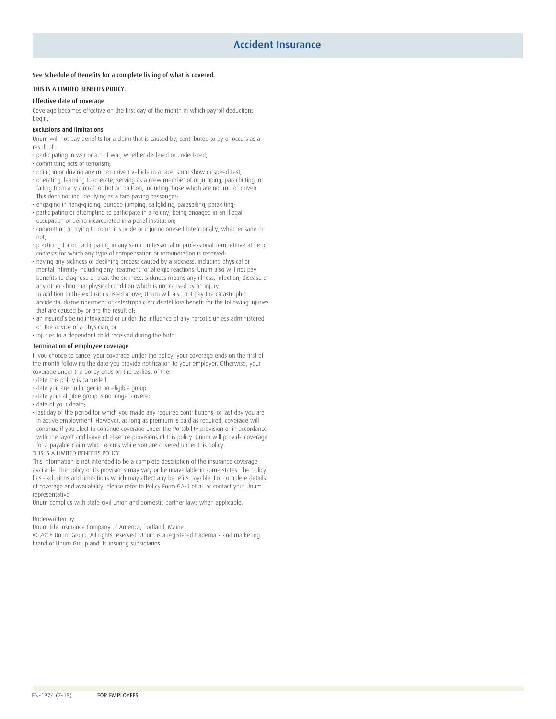#### See Schedule of Benefits for a complete listing of what is covered.

#### THIS IS A LIMITED BENEFITS POLICY.

#### Effective date of coverage

Coverage becomes effective on the first day of the month in which payroll deductions begin.

#### Exclusions and limitations

Unum will not pay benefits for a claim that is caused by, contributed to by or occurs as a result of:

- participating in war or act of war, whether declared or undeclared;
- committing acts of terrorism;
- riding in or driving any motor-driven vehicle in a race, stunt show or speed test;
- operating, learning to operate, serving as a crew member of or jumping, parachuting, or falling from any aircraft or hot air balloon, including those which are not motor-driven. This does not include flying as a fare paying passenger;
- engaging in hang-gliding, bungee jumping, sailgliding, parasailing, parakiting;
- participating or attempting to participate in a felony, being engaged in an illegal occupation or being incarcerated in a penal institution;
- committing or trying to commit suicide or injuring oneself intentionally, whether sane or not;
- practicing for or participating in any semi-professional or professional competitive athletic contests for which any type of compensation or remuneration is received;
- having any sickness or declining process caused by a sickness, including physical or mental infirmity including any treatment for allergic reactions. Unum also will not pay benefits to diagnose or treat the sickness. Sickness means any illness, infection, disease or any other abnormal physical condition which is not caused by an injury. In addition to the exclusions listed above, Unum will also not pay the catastrophic accidental dismemberment or catastrophic accidental loss benefit for the following injuries that are caused by or are the result of:
- an insured's being intoxicated or under the influence of any narcotic unless administered on the advice of a physician; or
- injuries to a dependent child received during the birth.

#### Termination of employee coverage

If you choose to cancel your coverage under the policy, your coverage ends on the first of the month following the date you provide notification to your employer. Otherwise, your coverage under the policy ends on the earliest of the:

- date this policy is cancelled;
- date you are no longer in an eligible group;
- date your eligible group is no longer covered;
- date of your death;
- last day of the period for which you made any required contributions; or last day you are in active employment. However, as long as premium is paid as required, coverage will continue if you elect to continue coverage under the Portability provision or in accordance with the layoff and leave of absence provisions of this policy. Unum will provide coverage for a payable claim which occurs while you are covered under this policy.

#### THIS IS A LIMITED BENEFITS POLICY

This information is not intended to be a complete description of the insurance coverage available. The policy or its provisions may vary or be unavailable in some states. The policy has exclusions and limitations which may affect any benefits payable. For complete details of coverage and availability, please refer to Policy Form GA-1 et al. or contact your Unum representative.

Unum complies with state civil union and domestic partner laws when applicable.

Underwritten by:

Unum Life Insurance Company of America, Portland, Maine

© 2018 Unum Group. All rights reserved. Unum is a registered trademark and marketing brand of Unum Group and its insuring subsidiaries.